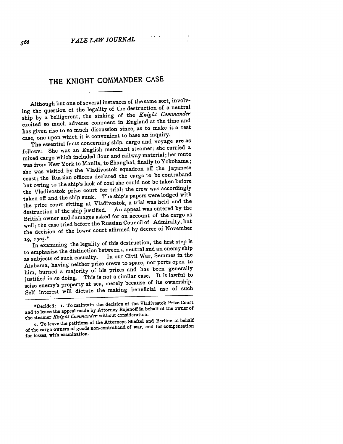$\ddot{\phantom{0}}$ 

## THE **KNIGHT** COMMANDER **CASE**

Although but one of several instances of the same sort, involving the question of the legality of the destruction of a neutral ship by a belligerent, the sinking of the *Knight Commander* excited so much adverse comment in England at the time and has given rise to so much discussion since, as to make it a test case, one upon which it is convenient to base an inquiry.

The essential facts concerning ship, cargo and voyage are as follows: She was an English merchant steamer; she carried a mixed cargo which included flour and railway material; her route was from New York to Manila, to Shanghai, finally to Yokohama; she was visited by the Vladivostok squadron off the Japanese coast; the Russian officers declared the cargo to be contraband but owing to the ship's lack of coal she could not be taken before the Vladivostok prize court for trial; the crew was accordingly taken off and the ship sunk. The ship's papers were lodged with the prize court sitting at Vladivostok, a trial was held and the destruction of the ship justified. An appeal was entered by the the prize could sitting at the state of the speed was entered by the destruction of the ship justified. An appeal was entered by the British owner and damages asked for on account of the cargo as well; the case tried before the Russian Council of Admiralty, but the decision of the lower court affirmed by decree of November **19, 1905.\***

In examining the legality of this destruction, the first step is to emphasize the distinction between a neutral and an enemy ship<br>as subjects of such casualty. In our Civil War, Semmes in the to emphasize the distribution seems our Civil War, Semmes in the<br>as subjects of such casualty. In our cases, nor ports open to Alabama, having neither prize crews to spare, nor ports open to<br>having neither prize crews to spare, here generally him, burned a majority of his prizes and has been generally justified in so doing. This is not a similar case. It is lawful to seize enemy's property at sea, merely because of its ownership. Self interest will dictate the making beneficial use of such

**2.** To leave the petitions of the Attorneys Sheftel and Berline in behalf of the cargo owners of goods non-contraband of war, and for compensation for losses, with examination.

<sup>\*</sup>Decided: i. To maintain the decision of the Vladivostok Prize Court and to leave the appeal made **by** Attorney Bojenoff in behalf of the owner of the steamer *Knight Commander* without consideration.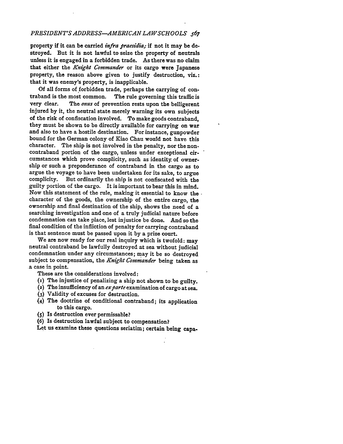## *PRESIDENT'S ADDRESS-AMERICAN LA WSCHOOLS 567*

property if it can be carried *infra praesidia;* if not it may be destroyed. But it is not lawful to seize the property of neutrals unless it is engaged in a forbidden trade. As there was no claim that either the *Knight Commander* or its cargo were Japanese property, the reason above given to justify destruction, viz.: that it was enemy's property, is inapplicable.

Of all forms of forbidden trade, perhaps the carrying of contraband is the most common. The rule governing this traffic is very dlear. The *onus* of prevention rests upon the belligerent injured **by** it, the neutral state merely warning its own subjects of the risk of confiscation involved. To make goods contraband, they must be shown to be directly available for carrying on war and also to have a hostile destination. For instance, gunpowder bound for the German colony of Kiao Chau would not have this character. The ship is not involved in the penalty, nor the noncontraband portion of the cargo, unless under exceptional circumstances which prove complicity, such as identity of ownership or such a preponderance of contraband in the cargo as to argue the voyage to have been undertaken for its sake, to argue complicity. But ordinarily the ship is not confiscated with the guilty portion of the cargo. It is important to bear this in mind. Now this statement of the rule, making it essential to know the character of the goods, the ownership of the entire cargo, the ownership and final destination of the ship, shows the need of a searching investigation and one of a truly judicial nature before condemnation can take place, lest injustice be done. And so the final condition of the infliction of penalty for carrying contraband is that sentence must be passed upon it **by** a prize court.

We are now ready for our real inquiry which is twofold: may neutral contraband be lawfully destroyed at sea without judicial condemnation under any circumstances; may it be so destroyed subject to compensation, the *Knight Commander* being taken as .a case in point.

These are the considerations involved:

- **(i)** The injustice of penalizing a ship not shown to be guilty.
- (2) The insufficiency of an ex parte examination of cargo at sea.
- **(3)** Validity of excuses for destruction.
- **(4)** The doctrine of conditional contraband; its application to this cargo.
- **(5)** Is destruction ever permissable?
- **(6)** Is destruction lawful subject to compensation?

Let us examine these questions seriatim; certain being capa-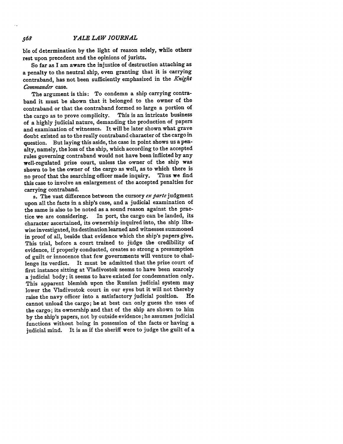ble of determination **by** the light of reason solely, while others rest upon precedent and the opinions of jurists.

So far as I am aware the injustice of destruction attaching as a penalty to the neutral ship, even granting that it is carrying contraband, has not been sufficiently emphasized in the *Knight Commander* case.

The argument is this: To condemn a ship carrying contraband it must be shown that it belonged to the owner of the contraband or that the contraband formed so large a portion of<br>the cargo as to prove complicity. This is an intricate business the cargo as to prove complicity. of a highly judicial nature, demanding the production of papers and examination of witnesses. It will be later shown what grave doubt existed as to the really contraband character of the cargo in question. But laying this aside, the case in point shows us a penalty, namely, the loss of the ship, which according to the accepted rules governing contraband would not have been inflicted by any well-regulated prize court, unless the owner of the ship was shown to be the owner of the cargo as well, as to which there is no proof that the searching officer made inquiry. Thus we find no proof that the searching officer made inquiry. this case to involve an enlargement of the accepted penalties for carrying contraband.

 $2.$  The vast difference between the cursory ex parte judgment upon all the facts in a ship's case, and a judicial examination of the same is also to be noted as a sound reason against the prac-<br>tice we are considering. In port, the cargo can be landed, its In port, the cargo can be landed, its character ascertained, its ownership inquired into, the ship likewise investigated, its destination learned and witnesses summoned in proof of all, beside that evidence which the ship's papers give. This trial, before a court trained to jiudge the credibility of evidence, if properly conducted, creates so strong a presumption of guilt or innocence that few governments will venture to chal-<br>lenge its verdict. It must be admitted that the prize court of It must be admitted that the prize court of first instance sitting at Vladivostok seems to have been scarcely a judicial body; it seems to have existed for condemnation only. This apparent blemish upon the Russian judicial system may lower the Vladivostok court in our eyes but it will not thereby<br>raise the navy officer into a satisfactory iudicial position. He raise the navy officer into a satisfactory judicial position. cannot unload the cargo; he at best can only guess the uses of the cargo; its ownership and that of the ship are shown to him **by** the ship's papers, not **by** outside evidence; he assumes judicial functions without being in possession of the facts or having a judicial mind. It is as if the sheriff were to judge the guilt of a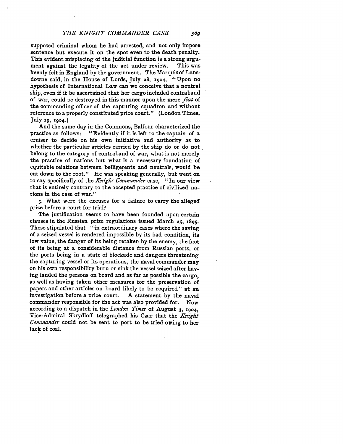supposed criminal whom he had arrested, and not only impose sentence but execute it on the spot even to the death penalty. This evident misplacing of the judicial function is a strong argument against the legality of the act under review. This was keenly felt in England by the government. The Marquis of Lansdowne said, in the House of Lords, July **28, 1904,** "Upon no hypothesis of International Law can we conceive that a neutral ship, even if it be ascertained that her cargo included contraband of war, could be destroyed in this manner upon the mere fiat of the commanding officer of the capturing squadron and without reference to a properly constituted prize court." (London Times, **July 29, 1904.)**

And the same day in the Commons, Balfour characterized the practice as follows: "Evidently if it is left to the captain of a cruiser to decide on his own initiative and authority as to whether the particular articles carried **by** the ship do or do not belong to the category of contraband of war, what is not merely the practice of nations but what is a necessary foundation of equitable relations between belligerents and neutrals, would be cut down to the root." He was speaking generally, but went on to say specifically of the *Knight Commander* case, "In our view that is entirely contrary to the accepted practice of civilized nations in the case of war."

**3.** What were the excuses for a failure to carry the alleged prize before a court for trial?

The justification seems to have been founded upon certain clauses in the Russian prize regulations issued March **25,** 1895. These stipulated that "in extraordinary cases where the saving of a seized vessel is rendered impossible by its bad condition, its low value, the danger of its being retaken by the enemy, the fact of its being at a considerable distance from Russian ports, or the ports being in a state of blockade and dangers threatening the capturing vessel or its operations, the naval commander may on his own responsibility burn or sink the vessel seized after having landed the persons on board and as far as possible the cargo, as well as having taken other measures for the preservation of papers and other articles on board likely to be required" at an investigation before a prize court. A statement by the naval commander responsible for the act was also provided for. Now according to a dispatch in the *London Times* of August **3, 1904,** Vice-Admiral Skrydloff telegraphed his Czar that the *Knight Commander* could not be sent to port to be tried owing to her lack of coal.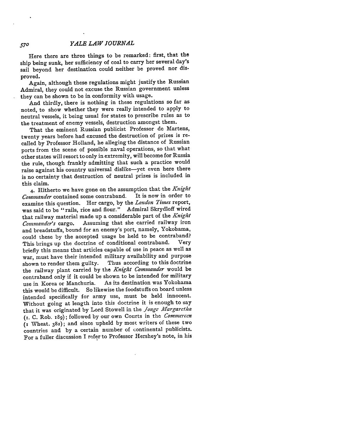Here there are three things to be remarked: first, that the ship being sunk, her sufficiency of coal to carry her several day's sail beyond her destination could neither be proved nor disproved.

Again, although these regulations might justify the Russian Admiral, they could not excuse the Russian government unless they can be shown to be in conformity with usage.

And thirdly, there is nothing in these regulations so far as noted, to show whether they were really intended to apply to neutral vessels, it being usual for states to prescribe rules as to the treatment of enemy vessels, destruction amongst them.

That the eminent Russian publicist Professor de Martens, twenty years before had excused the destruction of prizes is recalled by Professor Holland, he alleging the distance of Russian ports from the scene of possible naval operations, so that what other states will resort to only in extremity, will become for Russia the rule, though frankly admitting that such a practice would raise against his country universal dislike-yet even here there is no certainty that destruction of neutral prizes is included in this claim.

4. Hitherto we have gone on the assumption that the *Knight Commander* contained some contraband. examine this question. Her cargo, by the *London Times* report, was said to be "rails, rice and flour." Admiral Skrydloff wired that railway material made up a considerable part of the *Knight* Assuming that she carried railway iron and breadstuffs, bound for an enemy's port, namely, Yokohama, could these by the accepted usage be held to be contraband?<br>This brings up the doctrine of conditional contraband. Very This brings up the doctrine of conditional contraband. briefly this means that articles capable of use in peace as well as war, must have their intended military availability and purpose<br>shown to render them guilty. Thus according to this doctrine Thus according to this doctrine the railway plant carried by the *Knight Commander* would be contraband only if it could be shown to be intended for military<br>use in Korea or Manchuria. As its destination was Yokohama use in Korea or Manchuria. this would be difficult. So likewise the foodstuffs on board unless intended specifically for army use, must be held innocent. Without going at length into this doctrine it is enough to say that it was originated by Lord Stowell in the Jonge Margarctha (i. **C.** Rob. i89); followed by our own Courts in the *Commercen* **(x** Wheat. **382);** and since upheld by most writers of these two countries and by a certain number of continental publicists. For a fuller discussion I refer to Professor Hershey's note, in his

570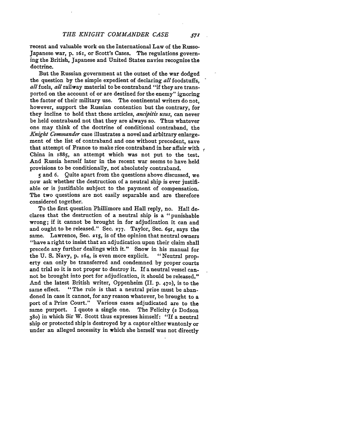recent and valuable work on the International Law of the Russo-Japanese war, **p.** 161, or Scott's Cases. The regulations governing the British, Japanese and United States navies recognize the doctrine.

But the Russian government at the outset of the war dodged the question **by** the simple expedient of declaring *all* foodstuffs, *all* fuels, *all* railway material to be contraband "if they are transported on the account of or are destined for the enemy" ignoring the factor of their military use. The continental writers do not, however, support the Russian contention but the contrary, for they incline to hold that these articles, *ancipitis usus*, can never be held contraband not that they are always so. Thus whatever one may think of the doctrine of conditional contraband, the *Knight Commander* case illustrates a novel and arbitrary enlargement of the list of contraband and one without precedent, save that attempt of France to make rice contraband in her affair with. China in **1885,** an attempt which was not put to the test. And Russia herself later in the recent war seems to have held provisions to be conditionally, not absolutely contraband.

**5** and **6.** Quite apart from the questions above discussed, we now ask whether the destruction of a neutral ship is ever justifiable or is justifiable subject to the payment of compensation. The two questions are not easily separable and are therefore considered together.

To the first question Phillimore and Hall reply, no. Hall declares that the destruction of a neutral ship is a "punishable wrong; if it cannot be brought in for adjudication it can and and ought to be released." Sec. **277.** Taylor, Sec. **69r,** says the same. Lawrence, Sec. **2 15,** is of the opinion that neutral owners "have a right to insist that an adjudication upon their claim shall precede any further dealings with it." Snow in his manual for the **U. S.** Navy, **p.** 164, is even more explicit. "Neutral property can only be transferred and condemned **by** proper courts and trial so it is not proper to destroy it. If a neutral vessel cannot be brought into port for adjudication, it should be released." And the latest British writer, Oppenheim (II. p. **470),** is to the same effect. "The rule is that a neutral prize must be abandoned in case it cannot, for any reason whatever, be brought to a port of a Prize Court." Various cases adjudicated are to the same purport. I quote a single one. The Felicity **(2** Dodson **380)** in which Sir W. Scott thus expresses himself: "If a neutral ship or protected ship is destroyed **by** a captor either wantonly or under an alleged necessity in which she herself was not directly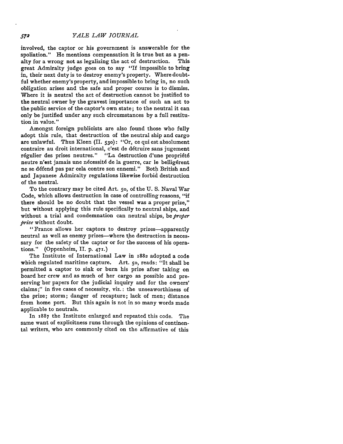*YALE LAW JOURNAL*

involved, the captor or his government is answerable for the spoliation." He mentions compensation it is true but as a penalty for a wrong not as legalizing the act of destruction. This great Admiralty judge goes on to say "If impossible to bring in, their next duty is to destroy enemy's property. Where doubtful whether enemy's property, and impossible to bring in, no such obligation arises and the safe and proper course is to dismiss. Where it is neutral the act of destruction cannot be justified to the neutral owner **by** the gravest importance of such an act to the public service of the captor's own state; to the neutral it can only be justified under any such circumstances **by** a full restitution in value."

Amongst foreign publicists are also found those who fully adopt this rule, that destruction of the neutral ship and cargo are unlawful. Thus Kleen (II. **530):** "Or, ce qui est absolument contraire au droit international, c'est de détruire sans jugement régulier des prises neutres." "La destruction d'une propriété neutre n'est jamais une nécessité de la guerre, car le belligérent ne se défend pas par cela contre son ennemi." Both British and and Japanese Admiralty regulations likewise forbid destruction of the neutral.

To the contrary may be cited Art. 5o, of the **U. S.** Naval War Code, which allows destruction in case of controlling reasons, "if there should be no doubt that the vessel was a proper prize," but without applying this rule specifically to neutral ships, and without a trial and condemnation can neutral ships, *be proper prize* without doubt.

"France allows her captors to destroy prizes-apparently neutral as well as enemy prizes-where the destruction is necessary for the safety of the captor or for the success of his operations." (Oppenheim, II. p. **471.)**

The Institute of International Law in **z882** adopted a code which regulated maritime capture. Art. **5o ,** reads: "It shall be permitted a captor to sink or burn his prize after taking on board her crew and as much of her cargo as possible and preserving her papers for the judicial inquiry and for the owners' claims **;"** in five cases of necessity, viz.: the unseaworthiness of the prize; storm; danger of recapture; lack of men; distance from home port. But this again is not in so many words made applicable to neutrals.

In **1887** the Institute enlarged and repeated this code. The same want of explicitness runs through the opinions of continental writers, who are commonly cited on the affirmative of this

*572*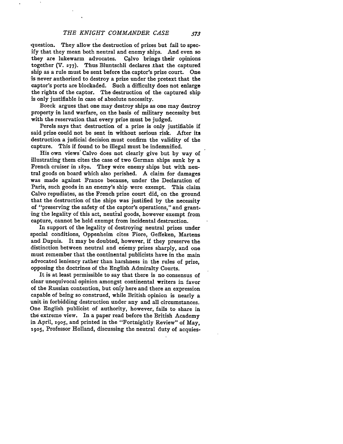question. They allow the destruction of prizes but fail to spec**ify** that they mean both neutral and enemy ships. And even so they are lukewarm advocates. Calvo brings their opinions together (V. **277).** Thus Bluntschli declares .that the captured ship as a rule must be sent before the. captor's prize court. One is never authorized to destroy a prize under the pretext that the captor's ports are blockaded. Such a difficulty does not enlarge the rights of the captor. The destruction of the captured ship is only justifiable in case of absolute necessity.

Boeck argues that one may destroy ships as one may destroy property in land warfare, on the basis of military necessity but with the reservation that every prize must be judged.

Perels says that destruction of a prize is only justifiable if said prize could not be sent in without serious risk. After its destruction a judicial decision must confirm the validity of the capture. This if found to be illegal must be indemnified.

His own views' Calvo does not clearly give but **by** way of illustrating them cites the case of two German ships sunk **by** a French cruiser in 1870. They were enemy ships but with neutral goods on board which also perished. A claim for damages was made against France because, under the Declaration of Paris, such goods in an enemy's ship were exempt. This claim Calvo repudiates, as the French prize court did, on the ground that the destruction of the ships was justified **by** the necessity of "preserving the safety of the captor's operations," and granting the legality of this act, neutial goods, however exempt from capture, cannot be held exempt from incidental destruction.

In support of the legality of destroying neutral prizes under special conditions, Oppenheim cites Fiore, Geffeken, Martens and Dupuis. It may be doubted, however, if they preserve the distinction between neutral and enemy prizes sharply, and one must remember that the continental publicists have in the main advocated leniency rather than harshness in the rules of prize, opposing the doctrines of the English Admiralty Courts.

It is at least permissible to say that there is no consensus of clear unequivocal opinion amongst continental writers in favor of the Russian contention, but only here and there an expression capable of being so construed, while British opinion is nearly a unit in forbidding destruction under any and all circumstances. One English publicist of authority, however, fails to share in the extreme view. In a paper read before the British Academy in April, **x9o5,** and printed in the "Fortnightly Review" of May, **19o5,** Professor Holland, discussing the neutral duty of acquies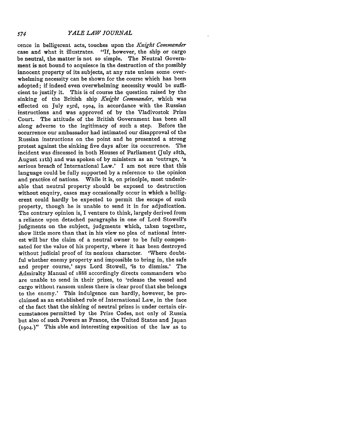*YALE LAW JOURNAL*

cence in belligerent acts, touches upon the *Knight Commander* case and what it illustrates. "If, however, the ship or cargo be neutral, the matter is not so simple. The Neutral Government is not bound to acquiesce in the destruction of the possibly innocent property of its subjects, at any rate unless some overwhelming necessity can be shown for the course which has been adopted; if indeed even overwhelming necessity would be sufficient to justify it. This is of course the question raised by the sinking of the British ship *Knight Commander,* which was effected on July 23rd, **1904,** in accordance with the Russian instructions and was approved of by the Vladivostok Prize Court. The attitude of the British Government has been all along adverse to the legitimacy of such a step. Before the occurrence our ambassador had intimated our disapproval of the Russian instructions on the point and he presented a strong protest against the sinking five days after its occurrence. The incident was discussed in both Houses of Parliament (July 28th, August 11th) and was spoken of by ministers as an 'outrage, 'a serious breach of International Law.' I am not sure that this language could be fully supported by a reference to the opinion and practice of nations. While it is, on principle, most undesirable that neutral property should be exposed to destruction without enquiry, cases may occasionally occur in which a belligerent could hardly be expected to permit the escape of such property, though he is unable to send it in for adjudication. The contrary opinion is, I venture to think, largely derived from a reliance upon detached paragraphs in one of Lord Stowell's judgments on the subject, judgments which, taken together, show little more than that in his view no plea of national interest will bar the claim of a neutral owner to be fully compensated for the value of his property, where it has been destroyed without judicial proof of its noxious character. 'Where doubtful whether enemy property and impossible to bring in, the safe and proper course,' says Lord Stowell, 'is to dismiss.' The Admiralty Manual of 1888 accordingly directs commanders who are unable to send in their prizes, to 'release the vessel and cargo without ransom unless there is clear proof that she belongs to the enemy.' This indulgence can hardly, however, be proclaimed as an established rule of International Law, in the face of the fact that the sinking of neutral prizes is under certain circumstances permitted by the Prize Codes, not only of Russia but also of such Powers as France, the United States and Japan **(1904.)"** This able and interesting exposition of the law as to

574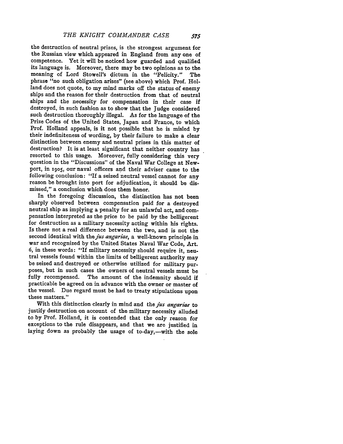*575*

the destruction of neutral prizes, is the strongest argument for the Russian view which appeared in England from any one of competence. Yet it will be noticed how guarded and qualified its language is. Moreover, there may be two opinions as to the meaning of Lord Stowell's dictum in the "Felicity." The phrase "no such obligation arises" (see above) which Prof. Holland does not quote, to my mind marks off the status of enemy ships and the reason for their destruction from that of neutral ships and the necessity for compensation in their case if destroyed, in such fashion as to show that the Judge considered such destruction thoroughly illegal. As for the language of the Prize Codes of the United States, Japan and France, to which Prof. Holland appeals, is it not possible that he is misled **by** their indefiniteness of wording, **by** their failure to make a clear distinction between enemy and neutral prizes in this matter of destruction? It is at least significant that neither country has resorted to this usage. Moreover, fully considering this very question in the "Discussions" of the Naval War College at Newport, in **1905,** our naval officers and their adviser came to the following conclusion: "If a seized neutral vessel cannot for any reason be brought into port for adjudication, it should be dismissed," a conclusion which does them honor.

In the foregoing discussion, the distinction has not been sharply observed between compensation paid for a destroyed neutral ship as implying a penalty for an unlawful act, and compensation interpreted as the price to be paid **by** the belligerent for destruction as a military necessity acting within his rights. Is there not a real difference between the two, and is not the second identical with *thejus angariae,* a well-known principle in war and recognized **by** the United States Naval War Code, Art. **6,** in these words: "If military necessity should require it, neutral vessels found within the limits of belligerent authority may be seized and destroyed or otherwise utilized for military purposes, but in such cases the owners of neutral vessels must be fully recompensed. The amount of the indemnity should if The amount of the indemnity should if practicable be agreed on in advance with the owner or master of the vessel. Due regard must be had to treaty stipulations upon these matters."

With this distinction clearly in mind and the *jus angariae* to justify destruction on account of the military necessity alluded to **by** Prof. Holland, it is contended that the only reason for exceptions to the rule disappears, and that we are justified in laying down as probably the usage of to-day,-with the sole